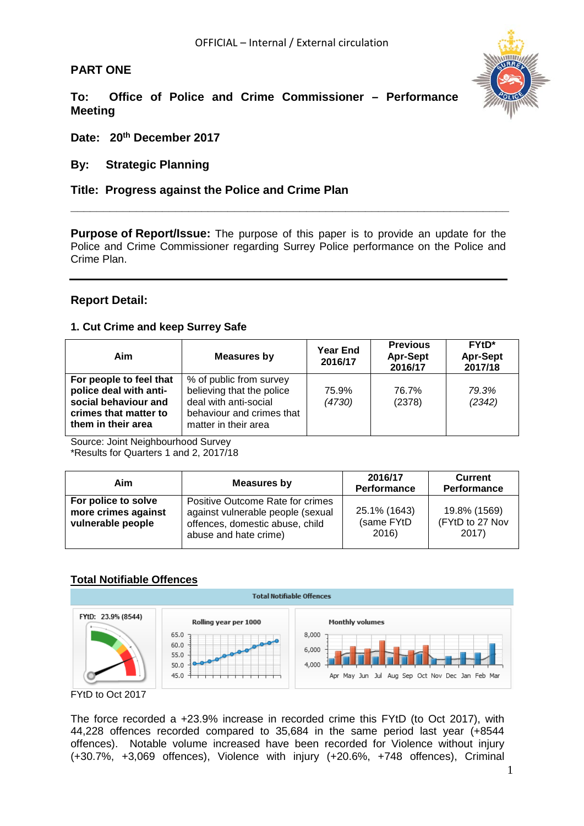# **PART ONE**



**To: Office of Police and Crime Commissioner – Performance Meeting**

**Date: 20th December 2017** 

# **By: Strategic Planning**

# **Title: Progress against the Police and Crime Plan**

**Purpose of Report/Issue:** The purpose of this paper is to provide an update for the Police and Crime Commissioner regarding Surrey Police performance on the Police and Crime Plan.

**\_\_\_\_\_\_\_\_\_\_\_\_\_\_\_\_\_\_\_\_\_\_\_\_\_\_\_\_\_\_\_\_\_\_\_\_\_\_\_\_\_\_\_\_\_\_\_\_\_\_\_\_\_\_\_\_\_\_\_\_\_\_\_\_\_\_\_**

# **Report Detail:**

# **1. Cut Crime and keep Surrey Safe**

| Aim                                                                                                                      | <b>Measures by</b>                                                                                                                 | <b>Year End</b><br>2016/17 | <b>Previous</b><br><b>Apr-Sept</b><br>2016/17 | $FYtD*$<br><b>Apr-Sept</b><br>2017/18 |
|--------------------------------------------------------------------------------------------------------------------------|------------------------------------------------------------------------------------------------------------------------------------|----------------------------|-----------------------------------------------|---------------------------------------|
| For people to feel that<br>police deal with anti-<br>social behaviour and<br>crimes that matter to<br>them in their area | % of public from survey<br>believing that the police<br>deal with anti-social<br>behaviour and crimes that<br>matter in their area | 75.9%<br>(4730)            | 76.7%<br>(2378)                               | 79.3%<br>(2342)                       |

Source: Joint Neighbourhood Survey

\*Results for Quarters 1 and 2, 2017/18

| Aim                                                             | Measures by                                                                                                                       | 2016/17<br><b>Performance</b>       | <b>Current</b><br>Performance            |  |  |
|-----------------------------------------------------------------|-----------------------------------------------------------------------------------------------------------------------------------|-------------------------------------|------------------------------------------|--|--|
| For police to solve<br>more crimes against<br>vulnerable people | Positive Outcome Rate for crimes<br>against vulnerable people (sexual<br>offences, domestic abuse, child<br>abuse and hate crime) | 25.1% (1643)<br>(same FYtD<br>2016) | 19.8% (1569)<br>(FYtD to 27 Nov<br>2017) |  |  |

# **Total Notifiable Offences**



FYtD to Oct 2017

The force recorded a +23.9% increase in recorded crime this FYtD (to Oct 2017), with 44,228 offences recorded compared to 35,684 in the same period last year (+8544 offences). Notable volume increased have been recorded for Violence without injury (+30.7%, +3,069 offences), Violence with injury (+20.6%, +748 offences), Criminal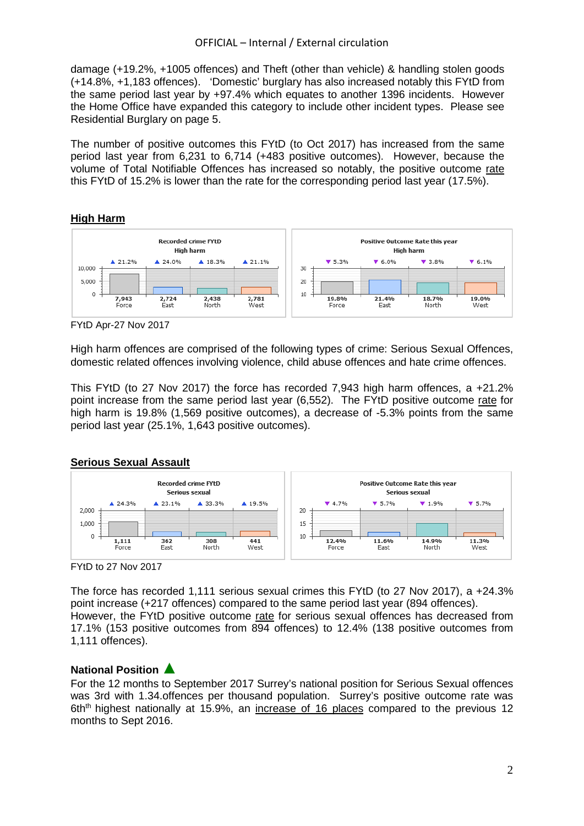damage (+19.2%, +1005 offences) and Theft (other than vehicle) & handling stolen goods (+14.8%, +1,183 offences). 'Domestic' burglary has also increased notably this FYtD from the same period last year by +97.4% which equates to another 1396 incidents. However the Home Office have expanded this category to include other incident types. Please see Residential Burglary on page 5.

The number of positive outcomes this FYtD (to Oct 2017) has increased from the same period last year from 6,231 to 6,714 (+483 positive outcomes). However, because the volume of Total Notifiable Offences has increased so notably, the positive outcome rate this FYtD of 15.2% is lower than the rate for the corresponding period last year (17.5%).

# **High Harm**



FYtD Apr-27 Nov 2017

High harm offences are comprised of the following types of crime: Serious Sexual Offences, domestic related offences involving violence, child abuse offences and hate crime offences.

This FYtD (to 27 Nov 2017) the force has recorded 7,943 high harm offences, a +21.2% point increase from the same period last year (6,552). The FYtD positive outcome rate for high harm is 19.8% (1,569 positive outcomes), a decrease of -5.3% points from the same period last year (25.1%, 1,643 positive outcomes).

# **Serious Sexual Assault**



FYtD to 27 Nov 2017

The force has recorded 1,111 serious sexual crimes this FYtD (to 27 Nov 2017), a +24.3% point increase (+217 offences) compared to the same period last year (894 offences). However, the FYtD positive outcome rate for serious sexual offences has decreased from 17.1% (153 positive outcomes from 894 offences) to 12.4% (138 positive outcomes from 1,111 offences).

# **National Position** ▲

For the 12 months to September 2017 Surrey's national position for Serious Sexual offences was 3rd with 1.34.offences per thousand population. Surrey's positive outcome rate was 6th<sup>th</sup> highest nationally at 15.9%, an increase of 16 places compared to the previous 12 months to Sept 2016.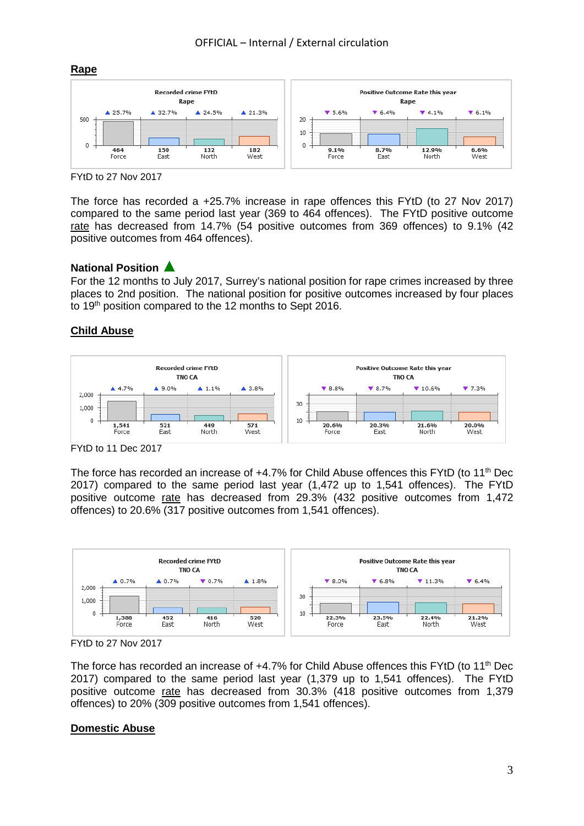

FYtD to 27 Nov 2017

The force has recorded a +25.7% increase in rape offences this FYtD (to 27 Nov 2017) compared to the same period last year (369 to 464 offences). The FYtD positive outcome rate has decreased from 14.7% (54 positive outcomes from 369 offences) to 9.1% (42 positive outcomes from 464 offences).

# **National Position** ▲

For the 12 months to July 2017, Surrey's national position for rape crimes increased by three places to 2nd position. The national position for positive outcomes increased by four places to 19<sup>th</sup> position compared to the 12 months to Sept 2016.

# **Child Abuse**



FYtD to 11 Dec 2017

The force has recorded an increase of +4.7% for Child Abuse offences this FYtD (to 11<sup>th</sup> Dec 2017) compared to the same period last year (1,472 up to 1,541 offences). The FYtD positive outcome rate has decreased from 29.3% (432 positive outcomes from 1,472 offences) to 20.6% (317 positive outcomes from 1,541 offences).



FYtD to 27 Nov 2017

The force has recorded an increase of  $+4.7\%$  for Child Abuse offences this FYtD (to 11<sup>th</sup> Dec 2017) compared to the same period last year (1,379 up to 1,541 offences). The FYtD positive outcome rate has decreased from 30.3% (418 positive outcomes from 1,379 offences) to 20% (309 positive outcomes from 1,541 offences).

# **Domestic Abuse**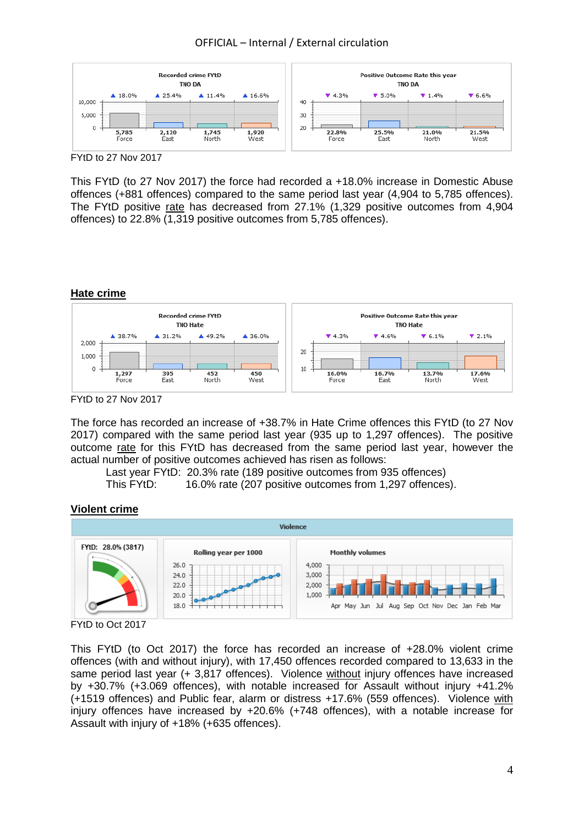# OFFICIAL – Internal / External circulation



FYtD to 27 Nov 2017

This FYtD (to 27 Nov 2017) the force had recorded a +18.0% increase in Domestic Abuse offences (+881 offences) compared to the same period last year (4,904 to 5,785 offences). The FYtD positive rate has decreased from 27.1% (1,329 positive outcomes from 4,904 offences) to 22.8% (1,319 positive outcomes from 5,785 offences).

# **Hate crime**



FYtD to 27 Nov 2017

The force has recorded an increase of +38.7% in Hate Crime offences this FYtD (to 27 Nov 2017) compared with the same period last year (935 up to 1,297 offences). The positive outcome rate for this FYtD has decreased from the same period last year, however the actual number of positive outcomes achieved has risen as follows:

Last year FYtD: 20.3% rate (189 positive outcomes from 935 offences)

This FYtD: 16.0% rate (207 positive outcomes from 1,297 offences).

#### **Violent crime**





This FYtD (to Oct 2017) the force has recorded an increase of +28.0% violent crime offences (with and without injury), with 17,450 offences recorded compared to 13,633 in the same period last year (+ 3,817 offences). Violence without injury offences have increased by +30.7% (+3.069 offences), with notable increased for Assault without injury +41.2% (+1519 offences) and Public fear, alarm or distress +17.6% (559 offences). Violence with injury offences have increased by +20.6% (+748 offences), with a notable increase for Assault with injury of +18% (+635 offences).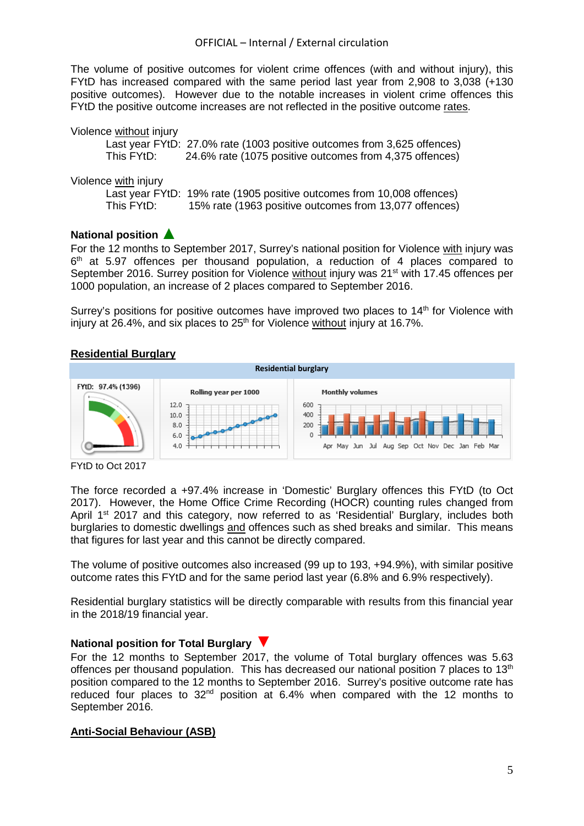The volume of positive outcomes for violent crime offences (with and without injury), this FYtD has increased compared with the same period last year from 2,908 to 3,038 (+130 positive outcomes). However due to the notable increases in violent crime offences this FYtD the positive outcome increases are not reflected in the positive outcome rates.

| Violence without injury |                                                                         |
|-------------------------|-------------------------------------------------------------------------|
|                         | Last year FYtD: 27.0% rate (1003 positive outcomes from 3,625 offences) |
| This FYtD:              | 24.6% rate (1075 positive outcomes from 4,375 offences)                 |
|                         |                                                                         |
| Violence with injury    |                                                                         |
|                         | Last year FYtD: 19% rate (1905 positive outcomes from 10,008 offences)  |
| This FYtD:              | 15% rate (1963 positive outcomes from 13,077 offences)                  |
|                         |                                                                         |

# **National position** ▲

For the 12 months to September 2017, Surrey's national position for Violence with injury was  $6<sup>th</sup>$  at 5.97 offences per thousand population, a reduction of 4 places compared to September 2016. Surrey position for Violence without injury was 21<sup>st</sup> with 17.45 offences per 1000 population, an increase of 2 places compared to September 2016.

Surrey's positions for positive outcomes have improved two places to 14<sup>th</sup> for Violence with injury at  $26.4\%$ , and six places to  $25<sup>th</sup>$  for Violence without injury at 16.7%.

# **Residential Burglary**



FYtD to Oct 2017

The force recorded a +97.4% increase in 'Domestic' Burglary offences this FYtD (to Oct 2017). However, the Home Office Crime Recording (HOCR) counting rules changed from April 1<sup>st</sup> 2017 and this category, now referred to as 'Residential' Burglary, includes both burglaries to domestic dwellings and offences such as shed breaks and similar. This means that figures for last year and this cannot be directly compared.

The volume of positive outcomes also increased (99 up to 193, +94.9%), with similar positive outcome rates this FYtD and for the same period last year (6.8% and 6.9% respectively).

Residential burglary statistics will be directly comparable with results from this financial year in the 2018/19 financial year.

# **National position for Total Burglary** ▼

For the 12 months to September 2017, the volume of Total burglary offences was 5.63 offences per thousand population. This has decreased our national position 7 places to 13<sup>th</sup> position compared to the 12 months to September 2016. Surrey's positive outcome rate has reduced four places to 32nd position at 6.4% when compared with the 12 months to September 2016.

# **Anti-Social Behaviour (ASB)**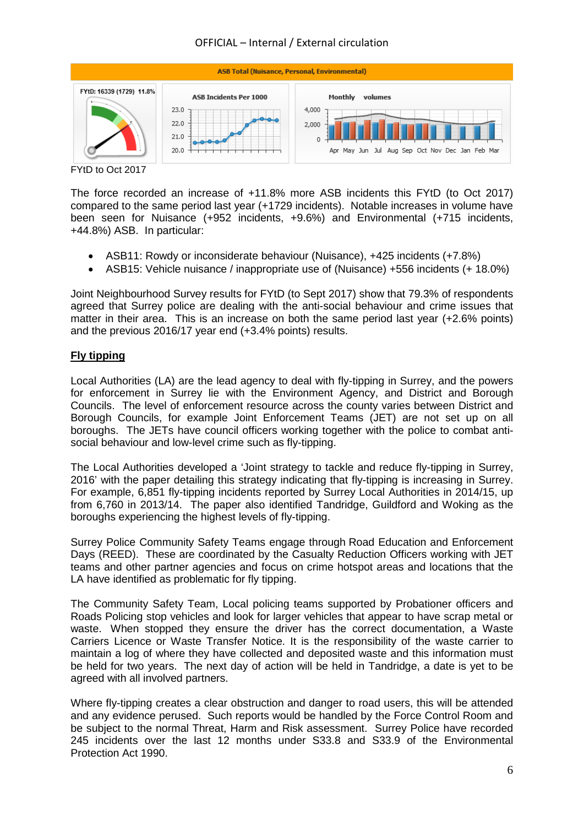# OFFICIAL – Internal / External circulation



FYtD to Oct 2017

The force recorded an increase of +11.8% more ASB incidents this FYtD (to Oct 2017) compared to the same period last year (+1729 incidents). Notable increases in volume have been seen for Nuisance (+952 incidents, +9.6%) and Environmental (+715 incidents, +44.8%) ASB. In particular:

- ASB11: Rowdy or inconsiderate behaviour (Nuisance), +425 incidents (+7.8%)
- ASB15: Vehicle nuisance / inappropriate use of (Nuisance) +556 incidents (+ 18.0%)

Joint Neighbourhood Survey results for FYtD (to Sept 2017) show that 79.3% of respondents agreed that Surrey police are dealing with the anti-social behaviour and crime issues that matter in their area. This is an increase on both the same period last year (+2.6% points) and the previous 2016/17 year end (+3.4% points) results.

# **Fly tipping**

Local Authorities (LA) are the lead agency to deal with fly-tipping in Surrey, and the powers for enforcement in Surrey lie with the Environment Agency, and District and Borough Councils. The level of enforcement resource across the county varies between District and Borough Councils, for example Joint Enforcement Teams (JET) are not set up on all boroughs. The JETs have council officers working together with the police to combat antisocial behaviour and low-level crime such as fly-tipping.

The Local Authorities developed a 'Joint strategy to tackle and reduce fly-tipping in Surrey, 2016' with the paper detailing this strategy indicating that fly-tipping is increasing in Surrey. For example, 6,851 fly-tipping incidents reported by Surrey Local Authorities in 2014/15, up from 6,760 in 2013/14. The paper also identified Tandridge, Guildford and Woking as the boroughs experiencing the highest levels of fly-tipping.

Surrey Police Community Safety Teams engage through Road Education and Enforcement Days (REED). These are coordinated by the Casualty Reduction Officers working with JET teams and other partner agencies and focus on crime hotspot areas and locations that the LA have identified as problematic for fly tipping.

The Community Safety Team, Local policing teams supported by Probationer officers and Roads Policing stop vehicles and look for larger vehicles that appear to have scrap metal or waste. When stopped they ensure the driver has the correct documentation, a Waste Carriers Licence or Waste Transfer Notice. It is the responsibility of the waste carrier to maintain a log of where they have collected and deposited waste and this information must be held for two years. The next day of action will be held in Tandridge, a date is yet to be agreed with all involved partners.

Where fly-tipping creates a clear obstruction and danger to road users, this will be attended and any evidence perused. Such reports would be handled by the Force Control Room and be subject to the normal Threat, Harm and Risk assessment. Surrey Police have recorded 245 incidents over the last 12 months under S33.8 and S33.9 of the Environmental Protection Act 1990.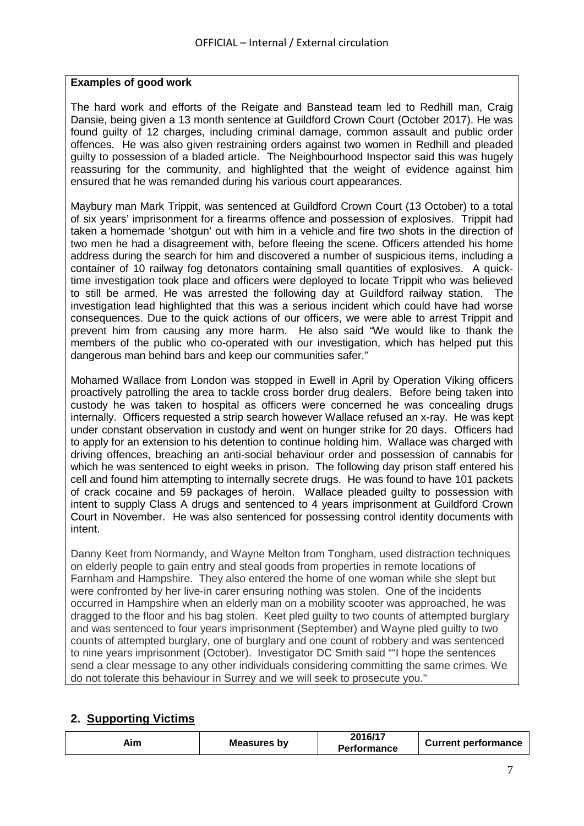# **Examples of good work**

The hard work and efforts of the Reigate and Banstead team led to Redhill man, Craig Dansie, being given a 13 month sentence at Guildford Crown Court (October 2017). He was found guilty of 12 charges, including criminal damage, common assault and public order offences. He was also given restraining orders against two women in Redhill and pleaded guilty to possession of a bladed article. The Neighbourhood Inspector said this was hugely reassuring for the community, and highlighted that the weight of evidence against him ensured that he was remanded during his various court appearances.

Maybury man Mark Trippit, was sentenced at Guildford Crown Court (13 October) to a total of six years' imprisonment for a firearms offence and possession of explosives. Trippit had taken a homemade 'shotgun' out with him in a vehicle and fire two shots in the direction of two men he had a disagreement with, before fleeing the scene. Officers attended his home address during the search for him and discovered a number of suspicious items, including a container of 10 railway fog detonators containing small quantities of explosives. A quicktime investigation took place and officers were deployed to locate Trippit who was believed to still be armed. He was arrested the following day at Guildford railway station. The investigation lead highlighted that this was a serious incident which could have had worse consequences. Due to the quick actions of our officers, we were able to arrest Trippit and prevent him from causing any more harm. He also said "We would like to thank the members of the public who co-operated with our investigation, which has helped put this dangerous man behind bars and keep our communities safer."

Mohamed Wallace from London was stopped in Ewell in April by Operation Viking officers proactively patrolling the area to tackle cross border drug dealers. Before being taken into custody he was taken to hospital as officers were concerned he was concealing drugs internally. Officers requested a strip search however Wallace refused an x-ray. He was kept under constant observation in custody and went on hunger strike for 20 days. Officers had to apply for an extension to his detention to continue holding him. Wallace was charged with driving offences, breaching an anti-social behaviour order and possession of cannabis for which he was sentenced to eight weeks in prison. The following day prison staff entered his cell and found him attempting to internally secrete drugs. He was found to have 101 packets of crack cocaine and 59 packages of heroin. Wallace pleaded guilty to possession with intent to supply Class A drugs and sentenced to 4 years imprisonment at Guildford Crown Court in November. He was also sentenced for possessing control identity documents with intent.

Danny Keet from Normandy, and Wayne Melton from Tongham, used distraction techniques on elderly people to gain entry and steal goods from properties in remote locations of Farnham and Hampshire. They also entered the home of one woman while she slept but were confronted by her live-in carer ensuring nothing was stolen. One of the incidents occurred in Hampshire when an elderly man on a mobility scooter was approached, he was dragged to the floor and his bag stolen. Keet pled guilty to two counts of attempted burglary and was sentenced to four years imprisonment (September) and Wayne pled guilty to two counts of attempted burglary, one of burglary and one count of robbery and was sentenced to nine years imprisonment (October). Investigator DC Smith said ""I hope the sentences send a clear message to any other individuals considering committing the same crimes. We do not tolerate this behaviour in Surrey and we will seek to prosecute you."

# **2. Supporting Victims**

| Measures by<br>Aim | 2016/17<br><b>Performance</b> | <b>Current performance</b> |
|--------------------|-------------------------------|----------------------------|
|--------------------|-------------------------------|----------------------------|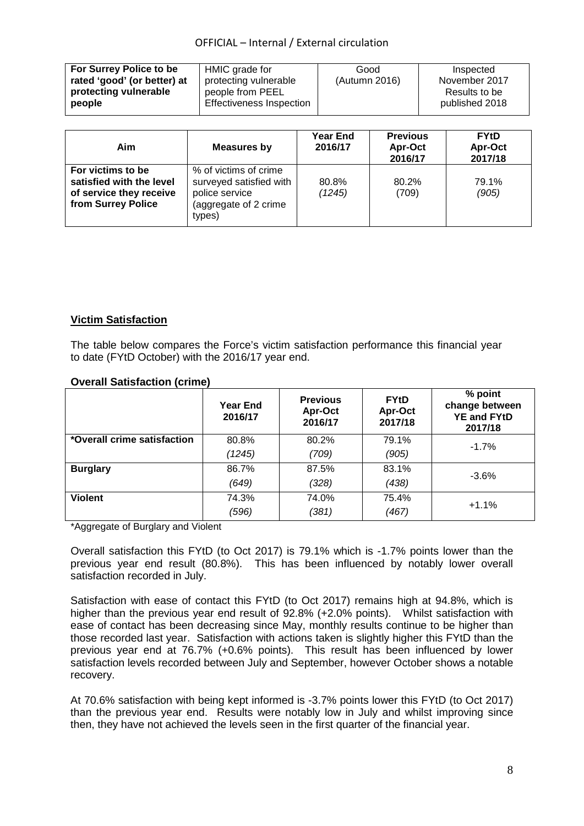| For Surrey Police to be     | HMIC grade for           | Good          | Inspected      |
|-----------------------------|--------------------------|---------------|----------------|
| rated 'good' (or better) at | protecting vulnerable    | (Autumn 2016) | November 2017  |
| protecting vulnerable       | people from PEEL         |               | Results to be  |
| people                      | Effectiveness Inspection |               | published 2018 |
|                             |                          |               |                |

| Aim                                                                                            | <b>Measures by</b>                                                                                    | <b>Year End</b><br>2016/17 | <b>Previous</b><br>Apr-Oct<br>2016/17 | <b>FYtD</b><br>Apr-Oct<br>2017/18 |
|------------------------------------------------------------------------------------------------|-------------------------------------------------------------------------------------------------------|----------------------------|---------------------------------------|-----------------------------------|
| For victims to be<br>satisfied with the level<br>of service they receive<br>from Surrey Police | % of victims of crime<br>surveyed satisfied with<br>police service<br>(aggregate of 2 crime<br>types) | 80.8%<br>(1245)            | 80.2%<br>(709)                        | 79.1%<br>(905)                    |

# **Victim Satisfaction**

The table below compares the Force's victim satisfaction performance this financial year to date (FYtD October) with the 2016/17 year end.

|                             | <b>Year End</b><br>2016/17 | <b>Previous</b><br>Apr-Oct<br>2016/17 | <b>FYtD</b><br>Apr-Oct<br>2017/18 | % point<br>change between<br><b>YE and FYtD</b><br>2017/18 |
|-----------------------------|----------------------------|---------------------------------------|-----------------------------------|------------------------------------------------------------|
| *Overall crime satisfaction | 80.8%                      | 80.2%                                 | 79.1%                             | $-1.7%$                                                    |
|                             | (1245)                     | (709)                                 | (905)                             |                                                            |
| <b>Burglary</b>             | 86.7%                      | 87.5%                                 | 83.1%                             | $-3.6\%$                                                   |
|                             | (649)                      | (328)                                 | (438)                             |                                                            |
| <b>Violent</b>              | 74.3%                      | 74.0%                                 | 75.4%                             | $+1.1%$                                                    |
|                             | (596)                      | (381)                                 | (467)                             |                                                            |

# **Overall Satisfaction (crime)**

\*Aggregate of Burglary and Violent

Overall satisfaction this FYtD (to Oct 2017) is 79.1% which is -1.7% points lower than the previous year end result (80.8%). This has been influenced by notably lower overall satisfaction recorded in July.

Satisfaction with ease of contact this FYtD (to Oct 2017) remains high at 94.8%, which is higher than the previous year end result of 92.8% (+2.0% points). Whilst satisfaction with ease of contact has been decreasing since May, monthly results continue to be higher than those recorded last year. Satisfaction with actions taken is slightly higher this FYtD than the previous year end at 76.7% (+0.6% points). This result has been influenced by lower satisfaction levels recorded between July and September, however October shows a notable recovery.

At 70.6% satisfaction with being kept informed is -3.7% points lower this FYtD (to Oct 2017) than the previous year end. Results were notably low in July and whilst improving since then, they have not achieved the levels seen in the first quarter of the financial year.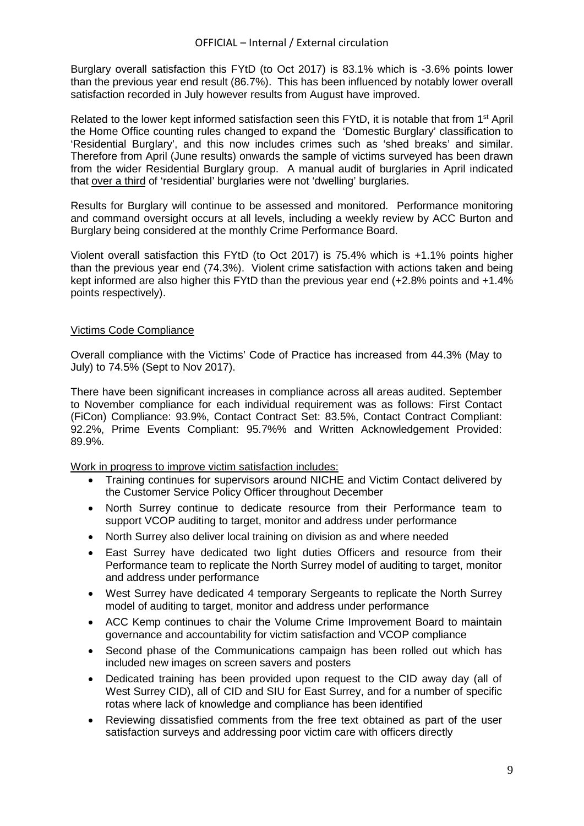Burglary overall satisfaction this FYtD (to Oct 2017) is 83.1% which is -3.6% points lower than the previous year end result (86.7%). This has been influenced by notably lower overall satisfaction recorded in July however results from August have improved.

Related to the lower kept informed satisfaction seen this FYtD, it is notable that from 1<sup>st</sup> April the Home Office counting rules changed to expand the 'Domestic Burglary' classification to 'Residential Burglary', and this now includes crimes such as 'shed breaks' and similar. Therefore from April (June results) onwards the sample of victims surveyed has been drawn from the wider Residential Burglary group. A manual audit of burglaries in April indicated that over a third of 'residential' burglaries were not 'dwelling' burglaries.

Results for Burglary will continue to be assessed and monitored. Performance monitoring and command oversight occurs at all levels, including a weekly review by ACC Burton and Burglary being considered at the monthly Crime Performance Board.

Violent overall satisfaction this FYtD (to Oct 2017) is 75.4% which is +1.1% points higher than the previous year end (74.3%). Violent crime satisfaction with actions taken and being kept informed are also higher this FYtD than the previous year end (+2.8% points and +1.4% points respectively).

# Victims Code Compliance

Overall compliance with the Victims' Code of Practice has increased from 44.3% (May to July) to 74.5% (Sept to Nov 2017).

There have been significant increases in compliance across all areas audited. September to November compliance for each individual requirement was as follows: First Contact (FiCon) Compliance: 93.9%, Contact Contract Set: 83.5%, Contact Contract Compliant: 92.2%, Prime Events Compliant: 95.7%% and Written Acknowledgement Provided: 89.9%.

Work in progress to improve victim satisfaction includes:

- Training continues for supervisors around NICHE and Victim Contact delivered by the Customer Service Policy Officer throughout December
- North Surrey continue to dedicate resource from their Performance team to support VCOP auditing to target, monitor and address under performance
- North Surrey also deliver local training on division as and where needed
- East Surrey have dedicated two light duties Officers and resource from their Performance team to replicate the North Surrey model of auditing to target, monitor and address under performance
- West Surrey have dedicated 4 temporary Sergeants to replicate the North Surrey model of auditing to target, monitor and address under performance
- ACC Kemp continues to chair the Volume Crime Improvement Board to maintain governance and accountability for victim satisfaction and VCOP compliance
- Second phase of the Communications campaign has been rolled out which has included new images on screen savers and posters
- Dedicated training has been provided upon request to the CID away day (all of West Surrey CID), all of CID and SIU for East Surrey, and for a number of specific rotas where lack of knowledge and compliance has been identified
- Reviewing dissatisfied comments from the free text obtained as part of the user satisfaction surveys and addressing poor victim care with officers directly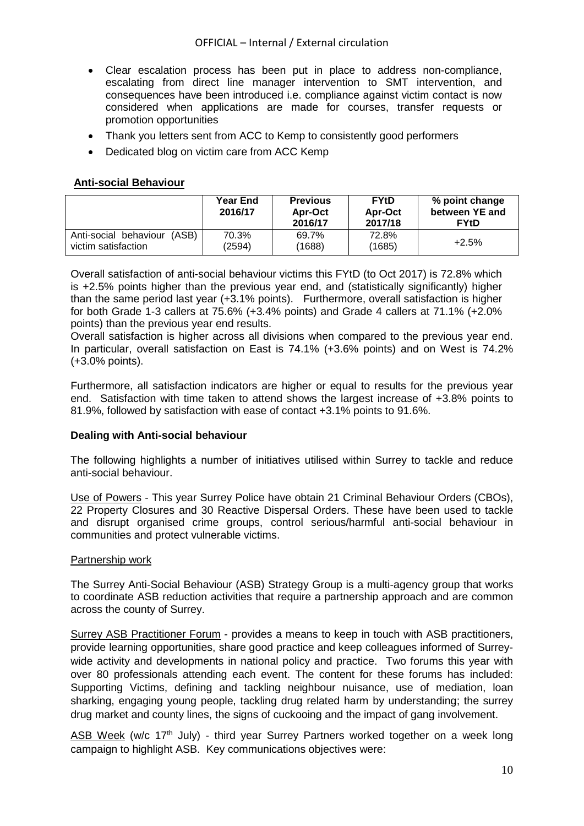- Clear escalation process has been put in place to address non-compliance, escalating from direct line manager intervention to SMT intervention, and consequences have been introduced i.e. compliance against victim contact is now considered when applications are made for courses, transfer requests or promotion opportunities
- Thank you letters sent from ACC to Kemp to consistently good performers
- Dedicated blog on victim care from ACC Kemp

# **Anti-social Behaviour**

|                                                       | <b>Year End</b><br>2016/17 | <b>Previous</b><br>Apr-Oct<br>2016/17 | <b>FYtD</b><br>Apr-Oct<br>2017/18 | % point change<br>between YE and<br><b>FYtD</b> |
|-------------------------------------------------------|----------------------------|---------------------------------------|-----------------------------------|-------------------------------------------------|
| Anti-social behaviour<br>(ASB)<br>victim satisfaction | 70.3%<br>(2594)            | 69.7%<br>(1688)                       | 72.8%<br>(1685)                   | $+2.5%$                                         |

Overall satisfaction of anti-social behaviour victims this FYtD (to Oct 2017) is 72.8% which is +2.5% points higher than the previous year end, and (statistically significantly) higher than the same period last year (+3.1% points). Furthermore, overall satisfaction is higher for both Grade 1-3 callers at 75.6% (+3.4% points) and Grade 4 callers at 71.1% (+2.0% points) than the previous year end results.

Overall satisfaction is higher across all divisions when compared to the previous year end. In particular, overall satisfaction on East is 74.1% (+3.6% points) and on West is 74.2% (+3.0% points).

Furthermore, all satisfaction indicators are higher or equal to results for the previous year end. Satisfaction with time taken to attend shows the largest increase of +3.8% points to 81.9%, followed by satisfaction with ease of contact +3.1% points to 91.6%.

# **Dealing with Anti-social behaviour**

The following highlights a number of initiatives utilised within Surrey to tackle and reduce anti-social behaviour.

Use of Powers - This year Surrey Police have obtain 21 Criminal Behaviour Orders (CBOs), 22 Property Closures and 30 Reactive Dispersal Orders. These have been used to tackle and disrupt organised crime groups, control serious/harmful anti-social behaviour in communities and protect vulnerable victims.

#### Partnership work

The Surrey Anti-Social Behaviour (ASB) Strategy Group is a multi-agency group that works to coordinate ASB reduction activities that require a partnership approach and are common across the county of Surrey.

Surrey ASB Practitioner Forum - provides a means to keep in touch with ASB practitioners, provide learning opportunities, share good practice and keep colleagues informed of Surreywide activity and developments in national policy and practice. Two forums this year with over 80 professionals attending each event. The content for these forums has included: Supporting Victims, defining and tackling neighbour nuisance, use of mediation, loan sharking, engaging young people, tackling drug related harm by understanding; the surrey drug market and county lines, the signs of cuckooing and the impact of gang involvement.

ASB Week (w/c 17<sup>th</sup> July) - third year Surrey Partners worked together on a week long campaign to highlight ASB. Key communications objectives were: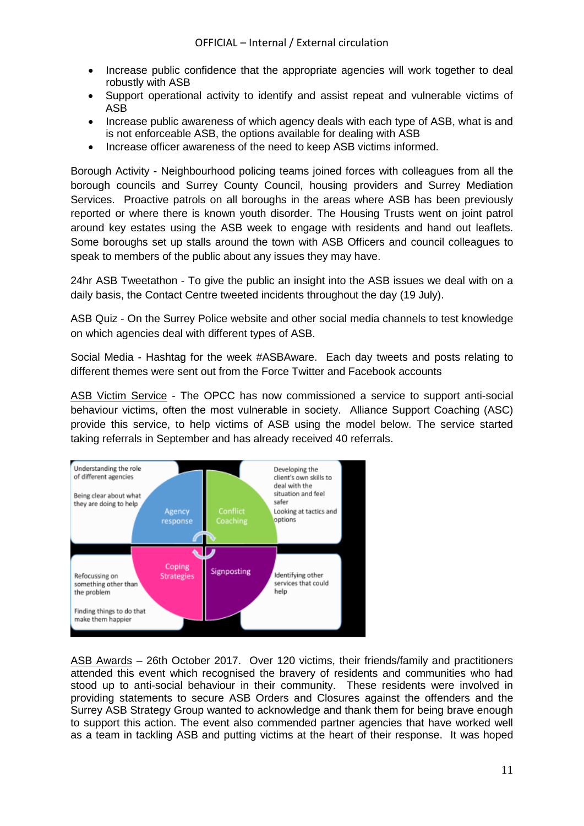- Increase public confidence that the appropriate agencies will work together to deal robustly with ASB
- Support operational activity to identify and assist repeat and vulnerable victims of ASB
- Increase public awareness of which agency deals with each type of ASB, what is and is not enforceable ASB, the options available for dealing with ASB
- Increase officer awareness of the need to keep ASB victims informed.

Borough Activity - Neighbourhood policing teams joined forces with colleagues from all the borough councils and Surrey County Council, housing providers and Surrey Mediation Services. Proactive patrols on all boroughs in the areas where ASB has been previously reported or where there is known youth disorder. The Housing Trusts went on joint patrol around key estates using the ASB week to engage with residents and hand out leaflets. Some boroughs set up stalls around the town with ASB Officers and council colleagues to speak to members of the public about any issues they may have.

24hr ASB Tweetathon - To give the public an insight into the ASB issues we deal with on a daily basis, the Contact Centre tweeted incidents throughout the day (19 July).

ASB Quiz - On the Surrey Police website and other social media channels to test knowledge on which agencies deal with different types of ASB.

Social Media - Hashtag for the week #ASBAware. Each day tweets and posts relating to different themes were sent out from the Force Twitter and Facebook accounts

ASB Victim Service - The OPCC has now commissioned a service to support anti-social behaviour victims, often the most vulnerable in society. Alliance Support Coaching (ASC) provide this service, to help victims of ASB using the model below. The service started taking referrals in September and has already received 40 referrals.



ASB Awards – 26th October 2017. Over 120 victims, their friends/family and practitioners attended this event which recognised the bravery of residents and communities who had stood up to anti-social behaviour in their community. These residents were involved in providing statements to secure ASB Orders and Closures against the offenders and the Surrey ASB Strategy Group wanted to acknowledge and thank them for being brave enough to support this action. The event also commended partner agencies that have worked well as a team in tackling ASB and putting victims at the heart of their response. It was hoped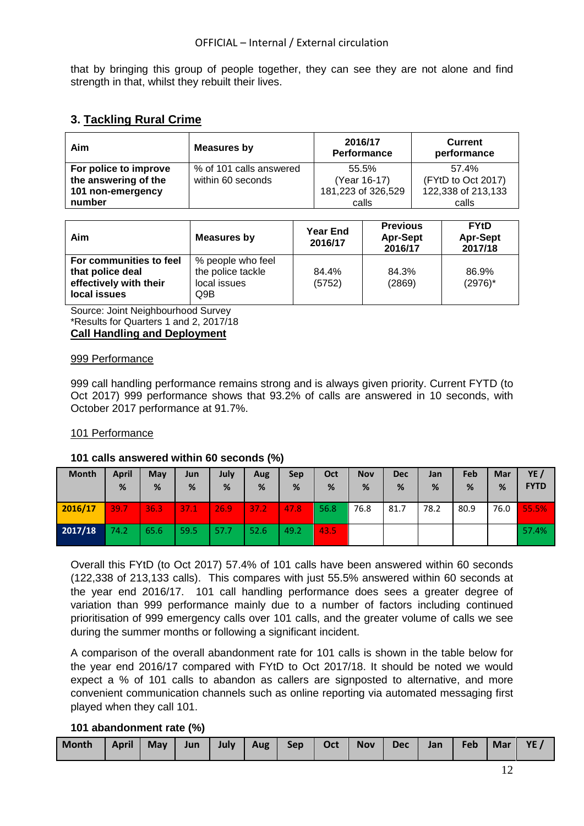that by bringing this group of people together, they can see they are not alone and find strength in that, whilst they rebuilt their lives.

# **3. Tackling Rural Crime**

| Aim                   | Measures by             | 2016/17<br>Performance | <b>Current</b><br>performance |  |
|-----------------------|-------------------------|------------------------|-------------------------------|--|
| For police to improve | % of 101 calls answered | 55.5%                  | 57.4%                         |  |
| the answering of the  | within 60 seconds       | (Year 16-17)           | (FYtD to Oct 2017)            |  |
| 101 non-emergency     |                         | 181,223 of 326,529     | 122,338 of 213,133            |  |
| number                |                         | calls                  | calls                         |  |

| Aim<br>Measures by                                                                    |                                                               | <b>Year End</b><br>2016/17 | <b>Previous</b><br><b>Apr-Sept</b><br>2016/17 | <b>FYtD</b><br><b>Apr-Sept</b><br>2017/18 |  |
|---------------------------------------------------------------------------------------|---------------------------------------------------------------|----------------------------|-----------------------------------------------|-------------------------------------------|--|
| For communities to feel<br>that police deal<br>effectively with their<br>local issues | % people who feel<br>the police tackle<br>local issues<br>Q9B | 84.4%<br>(5752)            | 84.3%<br>(2869)                               | 86.9%<br>$(2976)^*$                       |  |

Source: Joint Neighbourhood Survey \*Results for Quarters 1 and 2, 2017/18 **Call Handling and Deployment**

# 999 Performance

999 call handling performance remains strong and is always given priority. Current FYTD (to Oct 2017) 999 performance shows that 93.2% of calls are answered in 10 seconds, with October 2017 performance at 91.7%.

# 101 Performance

# **101 calls answered within 60 seconds (%)**

| <b>Month</b> | <b>April</b><br>% | May<br>% | Jun<br>% | July<br>% | Aug<br>% | Sep<br>% | Oct<br>% | <b>Nov</b><br>% | <b>Dec</b><br>% | Jan<br>% | Feb<br>% | Mar<br>% | YE /<br><b>FYTD</b> |
|--------------|-------------------|----------|----------|-----------|----------|----------|----------|-----------------|-----------------|----------|----------|----------|---------------------|
| 2016/17      | 39.7              | 36.3     | 37.1     | 26.9      | 37.2     | 47.8     | 56.8     | 76.8            | 81.7            | 78.2     | 80.9     | 76.0     | 55.5%               |
| 2017/18      | 74.2              | 65.6     | 59.5     | 57.7      | 52.6     | 49.2     | 43.5     |                 |                 |          |          |          | 57.4%               |

Overall this FYtD (to Oct 2017) 57.4% of 101 calls have been answered within 60 seconds (122,338 of 213,133 calls). This compares with just 55.5% answered within 60 seconds at the year end 2016/17. 101 call handling performance does sees a greater degree of variation than 999 performance mainly due to a number of factors including continued prioritisation of 999 emergency calls over 101 calls, and the greater volume of calls we see during the summer months or following a significant incident.

A comparison of the overall abandonment rate for 101 calls is shown in the table below for the year end 2016/17 compared with FYtD to Oct 2017/18. It should be noted we would expect a % of 101 calls to abandon as callers are signposted to alternative, and more convenient communication channels such as online reporting via automated messaging first played when they call 101.

# **101 abandonment rate (%)**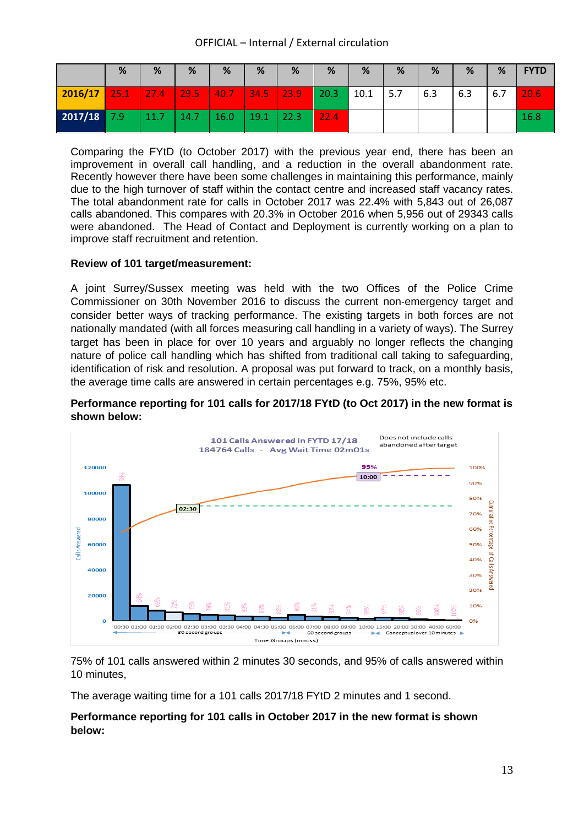|         | %    | %    | %    | %    | %    | %    | %    | %    | %   | %   | %   | %   | <b>FYTD</b> |
|---------|------|------|------|------|------|------|------|------|-----|-----|-----|-----|-------------|
| 2016/17 | 25.1 | 27.4 | 29.5 | 40.7 | 34.5 | 23.9 | 20.3 | 10.1 | 5.7 | 6.3 | 6.3 | 6.7 | 20.6        |
| 2017/18 | 7.9  | 11.7 | 14.7 | 16.0 | 19.1 | 22.3 | 22.4 |      |     |     |     |     | 16.8        |

Comparing the FYtD (to October 2017) with the previous year end, there has been an improvement in overall call handling, and a reduction in the overall abandonment rate. Recently however there have been some challenges in maintaining this performance, mainly due to the high turnover of staff within the contact centre and increased staff vacancy rates. The total abandonment rate for calls in October 2017 was 22.4% with 5,843 out of 26,087 calls abandoned. This compares with 20.3% in October 2016 when 5,956 out of 29343 calls were abandoned. The Head of Contact and Deployment is currently working on a plan to improve staff recruitment and retention.

# **Review of 101 target/measurement:**

A joint Surrey/Sussex meeting was held with the two Offices of the Police Crime Commissioner on 30th November 2016 to discuss the current non-emergency target and consider better ways of tracking performance. The existing targets in both forces are not nationally mandated (with all forces measuring call handling in a variety of ways). The Surrey target has been in place for over 10 years and arguably no longer reflects the changing nature of police call handling which has shifted from traditional call taking to safeguarding, identification of risk and resolution. A proposal was put forward to track, on a monthly basis, the average time calls are answered in certain percentages e.g. 75%, 95% etc.

# **Performance reporting for 101 calls for 2017/18 FYtD (to Oct 2017) in the new format is shown below:**



75% of 101 calls answered within 2 minutes 30 seconds, and 95% of calls answered within 10 minutes,

The average waiting time for a 101 calls 2017/18 FYtD 2 minutes and 1 second.

# **Performance reporting for 101 calls in October 2017 in the new format is shown below:**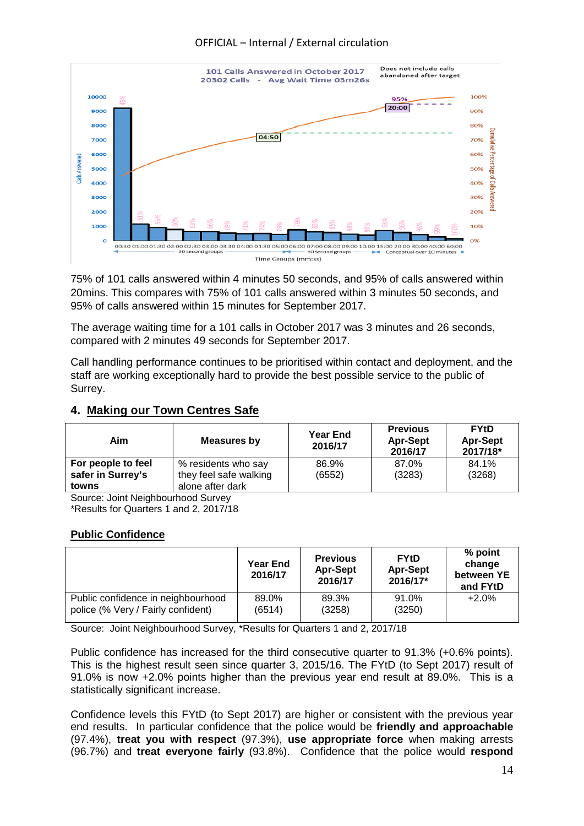

75% of 101 calls answered within 4 minutes 50 seconds, and 95% of calls answered within 20mins. This compares with 75% of 101 calls answered within 3 minutes 50 seconds, and 95% of calls answered within 15 minutes for September 2017.

The average waiting time for a 101 calls in October 2017 was 3 minutes and 26 seconds, compared with 2 minutes 49 seconds for September 2017.

Call handling performance continues to be prioritised within contact and deployment, and the staff are working exceptionally hard to provide the best possible service to the public of Surrey.

# **4. Making our Town Centres Safe**

| Aim                | Measures by                | <b>Year End</b><br>2016/17 | <b>Previous</b><br><b>Apr-Sept</b><br>2016/17 | <b>FYtD</b><br><b>Apr-Sept</b><br>2017/18* |
|--------------------|----------------------------|----------------------------|-----------------------------------------------|--------------------------------------------|
| For people to feel | % residents who say        | 86.9%                      | 87.0%                                         | 84.1%                                      |
| safer in Surrey's  | they feel safe walking     | (6552)                     | (3283)                                        | (3268)                                     |
| towns<br>$\sim$    | alone after dark<br>$\sim$ |                            |                                               |                                            |

Source: Joint Neighbourhood Survey \*Results for Quarters 1 and 2, 2017/18

# **Public Confidence**

|                                    | <b>Year End</b><br>2016/17 | <b>Previous</b><br><b>Apr-Sept</b><br>2016/17 | <b>FYtD</b><br><b>Apr-Sept</b><br>2016/17* | $%$ point<br>change<br>between YE<br>and FYtD |
|------------------------------------|----------------------------|-----------------------------------------------|--------------------------------------------|-----------------------------------------------|
| Public confidence in neighbourhood | 89.0%                      | 89.3%                                         | 91.0%                                      | $+2.0%$                                       |
| police (% Very / Fairly confident) | (6514)                     | (3258)                                        | (3250)                                     |                                               |

Source: Joint Neighbourhood Survey, \*Results for Quarters 1 and 2, 2017/18

Public confidence has increased for the third consecutive quarter to 91.3% (+0.6% points). This is the highest result seen since quarter 3, 2015/16. The FYtD (to Sept 2017) result of 91.0% is now +2.0% points higher than the previous year end result at 89.0%. This is a statistically significant increase.

Confidence levels this FYtD (to Sept 2017) are higher or consistent with the previous year end results. In particular confidence that the police would be **friendly and approachable** (97.4%), **treat you with respect** (97.3%), **use appropriate force** when making arrests (96.7%) and **treat everyone fairly** (93.8%). Confidence that the police would **respond**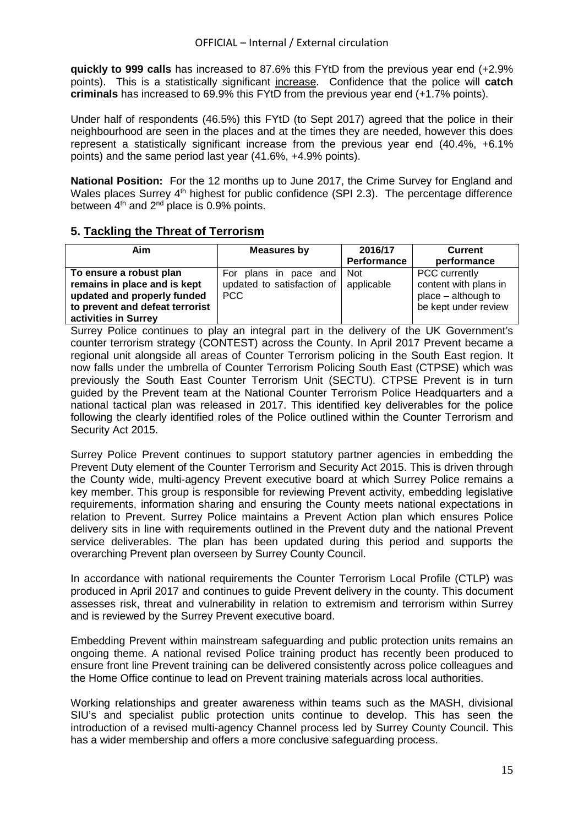**quickly to 999 calls** has increased to 87.6% this FYtD from the previous year end (+2.9% points). This is a statistically significant increase. Confidence that the police will **catch criminals** has increased to 69.9% this FYtD from the previous year end (+1.7% points).

Under half of respondents (46.5%) this FYtD (to Sept 2017) agreed that the police in their neighbourhood are seen in the places and at the times they are needed, however this does represent a statistically significant increase from the previous year end (40.4%, +6.1% points) and the same period last year (41.6%, +4.9% points).

**National Position:** For the 12 months up to June 2017, the Crime Survey for England and Wales places Surrey 4<sup>th</sup> highest for public confidence (SPI 2.3). The percentage difference between  $4<sup>th</sup>$  and  $2<sup>nd</sup>$  place is 0.9% points.

# **5. Tackling the Threat of Terrorism**

| Aim                             | Measures by                               | 2016/17            | <b>Current</b>        |  |
|---------------------------------|-------------------------------------------|--------------------|-----------------------|--|
|                                 |                                           | <b>Performance</b> | performance           |  |
| To ensure a robust plan         | For plans in pace and Not                 |                    | PCC currently         |  |
| remains in place and is kept    | updated to satisfaction of $ $ applicable |                    | content with plans in |  |
| updated and properly funded     | PCC                                       |                    | place – although to   |  |
| to prevent and defeat terrorist |                                           |                    | be kept under review  |  |
| activities in Surrey            |                                           |                    |                       |  |

Surrey Police continues to play an integral part in the delivery of the UK Government's counter terrorism strategy (CONTEST) across the County. In April 2017 Prevent became a regional unit alongside all areas of Counter Terrorism policing in the South East region. It now falls under the umbrella of Counter Terrorism Policing South East (CTPSE) which was previously the South East Counter Terrorism Unit (SECTU). CTPSE Prevent is in turn guided by the Prevent team at the National Counter Terrorism Police Headquarters and a national tactical plan was released in 2017. This identified key deliverables for the police following the clearly identified roles of the Police outlined within the Counter Terrorism and Security Act 2015.

Surrey Police Prevent continues to support statutory partner agencies in embedding the Prevent Duty element of the Counter Terrorism and Security Act 2015. This is driven through the County wide, multi-agency Prevent executive board at which Surrey Police remains a key member. This group is responsible for reviewing Prevent activity, embedding legislative requirements, information sharing and ensuring the County meets national expectations in relation to Prevent. Surrey Police maintains a Prevent Action plan which ensures Police delivery sits in line with requirements outlined in the Prevent duty and the national Prevent service deliverables. The plan has been updated during this period and supports the overarching Prevent plan overseen by Surrey County Council.

In accordance with national requirements the Counter Terrorism Local Profile (CTLP) was produced in April 2017 and continues to guide Prevent delivery in the county. This document assesses risk, threat and vulnerability in relation to extremism and terrorism within Surrey and is reviewed by the Surrey Prevent executive board.

Embedding Prevent within mainstream safeguarding and public protection units remains an ongoing theme. A national revised Police training product has recently been produced to ensure front line Prevent training can be delivered consistently across police colleagues and the Home Office continue to lead on Prevent training materials across local authorities.

Working relationships and greater awareness within teams such as the MASH, divisional SIU's and specialist public protection units continue to develop. This has seen the introduction of a revised multi-agency Channel process led by Surrey County Council. This has a wider membership and offers a more conclusive safeguarding process.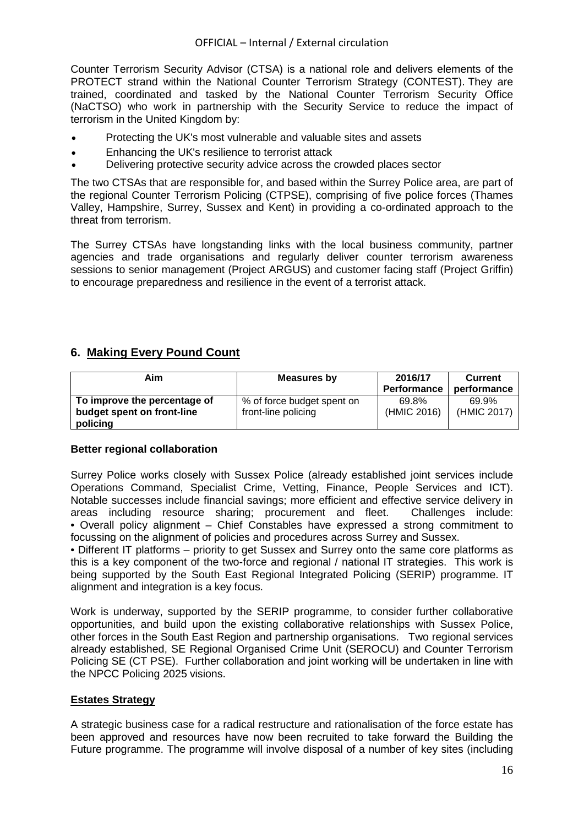Counter Terrorism Security Advisor (CTSA) is a national role and delivers elements of the PROTECT strand within the National Counter Terrorism Strategy (CONTEST). They are trained, coordinated and tasked by the National Counter Terrorism Security Office (NaCTSO) who work in partnership with the Security Service to reduce the impact of terrorism in the United Kingdom by:

- Protecting the UK's most vulnerable and valuable sites and assets
- Enhancing the UK's resilience to terrorist attack
- Delivering protective security advice across the crowded places sector

The two CTSAs that are responsible for, and based within the Surrey Police area, are part of the regional Counter Terrorism Policing (CTPSE), comprising of five police forces (Thames Valley, Hampshire, Surrey, Sussex and Kent) in providing a co-ordinated approach to the threat from terrorism.

The Surrey CTSAs have longstanding links with the local business community, partner agencies and trade organisations and regularly deliver counter terrorism awareness sessions to senior management (Project ARGUS) and customer facing staff (Project Griffin) to encourage preparedness and resilience in the event of a terrorist attack.

# **6. Making Every Pound Count**

| Aim                          | Measures by                | 2016/17            | <b>Current</b> |  |
|------------------------------|----------------------------|--------------------|----------------|--|
|                              |                            | <b>Performance</b> | performance    |  |
| To improve the percentage of | % of force budget spent on | 69.8%              | 69.9%          |  |
| budget spent on front-line   | front-line policing        | (HMIC 2016)        | (HMIC 2017)    |  |
| policing                     |                            |                    |                |  |

# **Better regional collaboration**

Surrey Police works closely with Sussex Police (already established joint services include Operations Command, Specialist Crime, Vetting, Finance, People Services and ICT). Notable successes include financial savings; more efficient and effective service delivery in areas including resource sharing; procurement and fleet. Challenges include: • Overall policy alignment – Chief Constables have expressed a strong commitment to focussing on the alignment of policies and procedures across Surrey and Sussex.

• Different IT platforms – priority to get Sussex and Surrey onto the same core platforms as this is a key component of the two-force and regional / national IT strategies. This work is being supported by the South East Regional Integrated Policing (SERIP) programme. IT alignment and integration is a key focus.

Work is underway, supported by the SERIP programme, to consider further collaborative opportunities, and build upon the existing collaborative relationships with Sussex Police, other forces in the South East Region and partnership organisations. Two regional services already established, SE Regional Organised Crime Unit (SEROCU) and Counter Terrorism Policing SE (CT PSE). Further collaboration and joint working will be undertaken in line with the NPCC Policing 2025 visions.

# **Estates Strategy**

A strategic business case for a radical restructure and rationalisation of the force estate has been approved and resources have now been recruited to take forward the Building the Future programme. The programme will involve disposal of a number of key sites (including